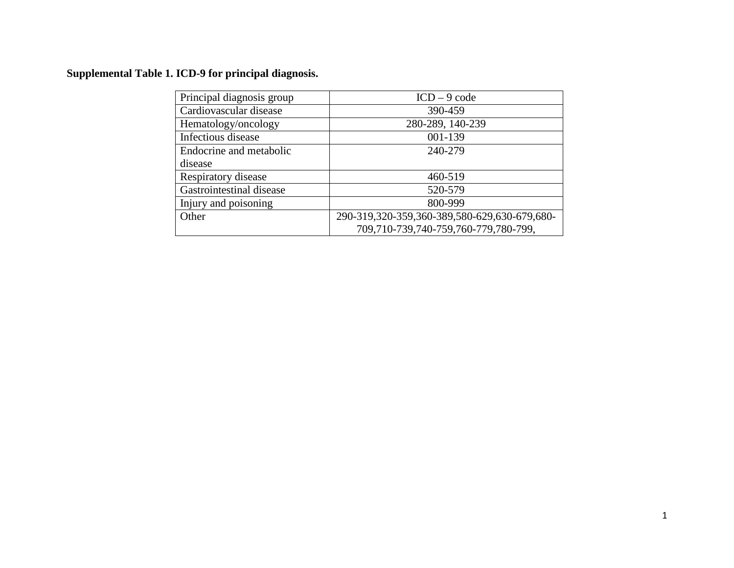# **Supplemental Table 1. ICD-9 for principal diagnosis.**

| Principal diagnosis group | $ICD - 9 code$                               |
|---------------------------|----------------------------------------------|
| Cardiovascular disease    | 390-459                                      |
| Hematology/oncology       | 280-289, 140-239                             |
| Infectious disease        | 001-139                                      |
| Endocrine and metabolic   | 240-279                                      |
| disease                   |                                              |
| Respiratory disease       | 460-519                                      |
| Gastrointestinal disease  | 520-579                                      |
| Injury and poisoning      | 800-999                                      |
| Other                     | 290-319,320-359,360-389,580-629,630-679,680- |
|                           | 709,710-739,740-759,760-779,780-799,         |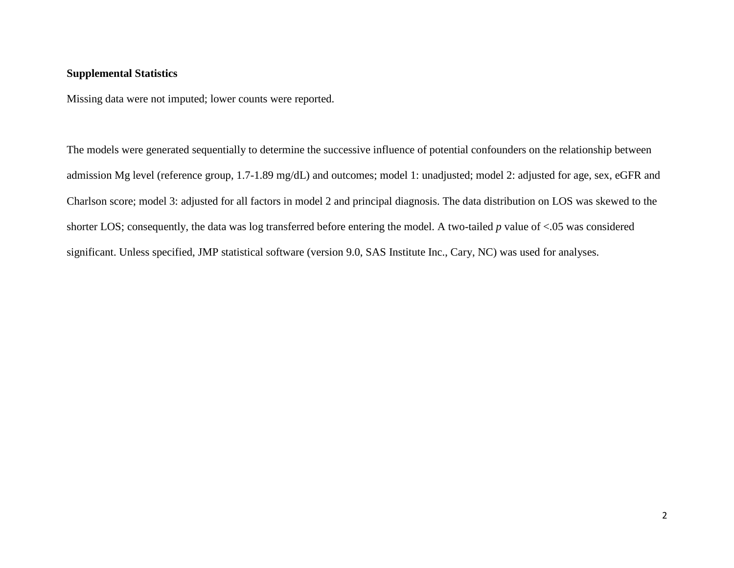#### **Supplemental Statistics**

Missing data were not imputed; lower counts were reported.

The models were generated sequentially to determine the successive influence of potential confounders on the relationship between admission Mg level (reference group, 1.7-1.89 mg/dL) and outcomes; model 1: unadjusted; model 2: adjusted for age, sex, eGFR and Charlson score; model 3: adjusted for all factors in model 2 and principal diagnosis. The data distribution on LOS was skewed to the shorter LOS; consequently, the data was log transferred before entering the model. A two-tailed *p* value of <.05 was considered significant. Unless specified, JMP statistical software (version 9.0, SAS Institute Inc., Cary, NC) was used for analyses.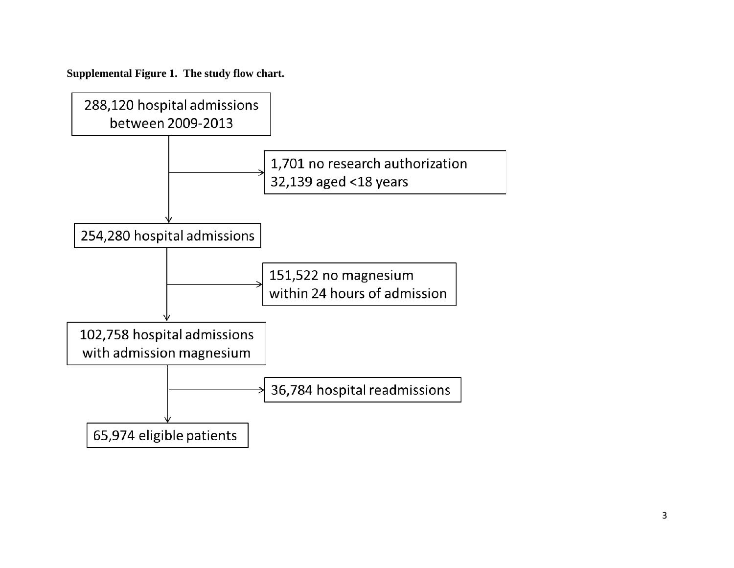**Supplemental Figure 1. The study flow chart.**

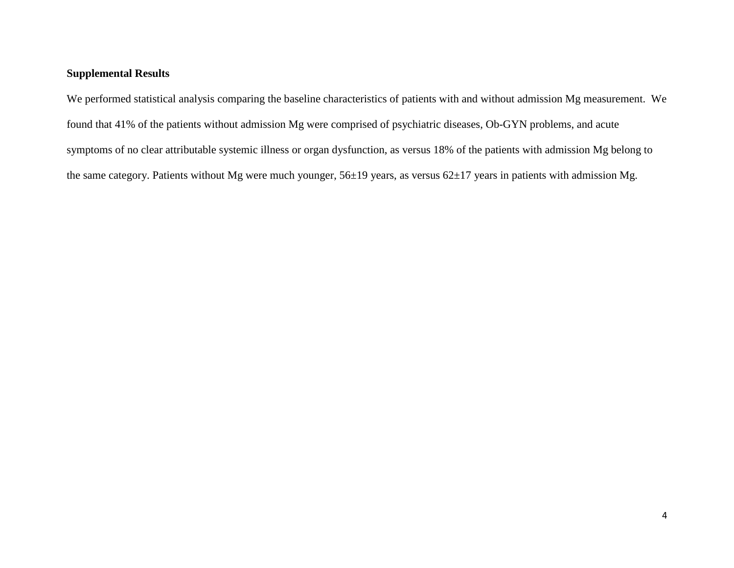### **Supplemental Results**

We performed statistical analysis comparing the baseline characteristics of patients with and without admission Mg measurement. We found that 41% of the patients without admission Mg were comprised of psychiatric diseases, Ob-GYN problems, and acute symptoms of no clear attributable systemic illness or organ dysfunction, as versus 18% of the patients with admission Mg belong to the same category. Patients without Mg were much younger, 56±19 years, as versus 62±17 years in patients with admission Mg.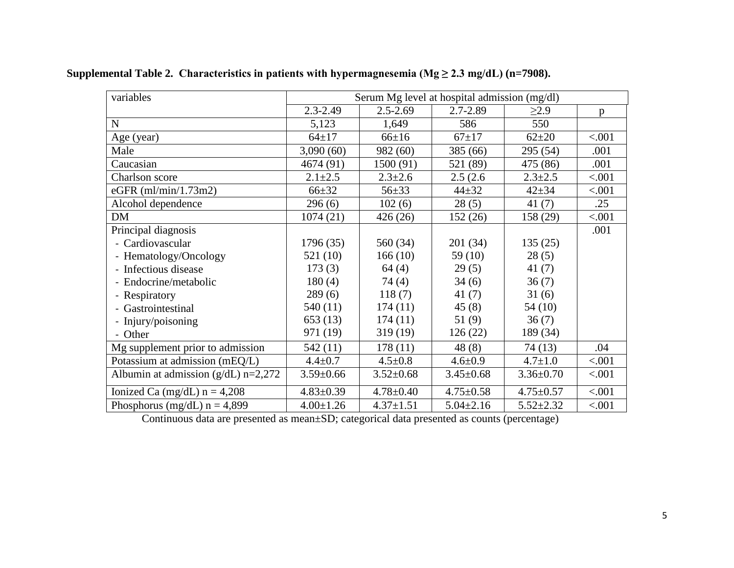| variables                               | Serum Mg level at hospital admission (mg/dl) |                 |                 |                 |        |
|-----------------------------------------|----------------------------------------------|-----------------|-----------------|-----------------|--------|
|                                         | $2.3 - 2.49$                                 | $2.5 - 2.69$    | 2.7-2.89        | $\geq$ 2.9      | p      |
| $\mathbf N$                             | 5,123                                        | 1,649           | 586             | 550             |        |
| Age (year)                              | $64 + 17$                                    | $66 \pm 16$     | $67+17$         | $62{\pm}20$     | < .001 |
| Male                                    | 3,090(60)                                    | 982 (60)        | 385 (66)        | 295 (54)        | .001   |
| Caucasian                               | 4674 (91)                                    | 1500 (91)       | 521 (89)        | 475 (86)        | .001   |
| Charlson score                          | $2.1 \pm 2.5$                                | $2.3 \pm 2.6$   | 2.5(2.6)        | $2.3 \pm 2.5$   | < .001 |
| eGFR (ml/min/1.73m2)                    | $66 + 32$                                    | $56 + 33$       | $44 + 32$       | $42 + 34$       | < .001 |
| Alcohol dependence                      | 296(6)                                       | 102(6)          | 28(5)           | 41(7)           | .25    |
| DM                                      | 1074(21)                                     | 426(26)         | 152(26)         | 158 (29)        | < .001 |
| Principal diagnosis                     |                                              |                 |                 |                 | .001   |
| - Cardiovascular                        | 1796(35)                                     | 560 (34)        | 201 (34)        | 135(25)         |        |
| - Hematology/Oncology                   | 521(10)                                      | 166(10)         | 59 $(10)$       | 28(5)           |        |
| - Infectious disease                    | 173(3)                                       | 64(4)           | 29(5)           | 41 $(7)$        |        |
| - Endocrine/metabolic                   | 180(4)                                       | 74 (4)          | 34(6)           | 36(7)           |        |
| - Respiratory                           | 289(6)                                       | 118(7)          | 41(7)           | 31(6)           |        |
| - Gastrointestinal                      | 540 (11)                                     | 174(11)         | 45(8)           | 54(10)          |        |
| - Injury/poisoning                      | 653(13)                                      | 174(11)         | 51(9)           | 36(7)           |        |
| - Other                                 | 971 (19)                                     | 319 (19)        | 126(22)         | 189 (34)        |        |
| Mg supplement prior to admission        | 542 (11)                                     | 178(11)         | 48(8)           | 74(13)          | .04    |
| Potassium at admission (mEQ/L)          | $4.4 \pm 0.7$                                | $4.5 \pm 0.8$   | $4.6 \pm 0.9$   | $4.7 \pm 1.0$   | < .001 |
| Albumin at admission ( $g/dL$ ) n=2,272 | $3.59 \pm 0.66$                              | $3.52 \pm 0.68$ | $3.45 \pm 0.68$ | $3.36 \pm 0.70$ | < .001 |
| Ionized Ca (mg/dL) $n = 4,208$          | $4.83 \pm 0.39$                              | $4.78 \pm 0.40$ | $4.75 \pm 0.58$ | $4.75 \pm 0.57$ | < .001 |
| Phosphorus (mg/dL) $n = 4,899$          | $4.00 \pm 1.26$                              | $4.37 \pm 1.51$ | $5.04 \pm 2.16$ | $5.52 \pm 2.32$ | < .001 |

**Supplemental Table 2. Characteristics in patients with hypermagnesemia (Mg ≥ 2.3 mg/dL) (n=7908).**

Continuous data are presented as mean±SD; categorical data presented as counts (percentage)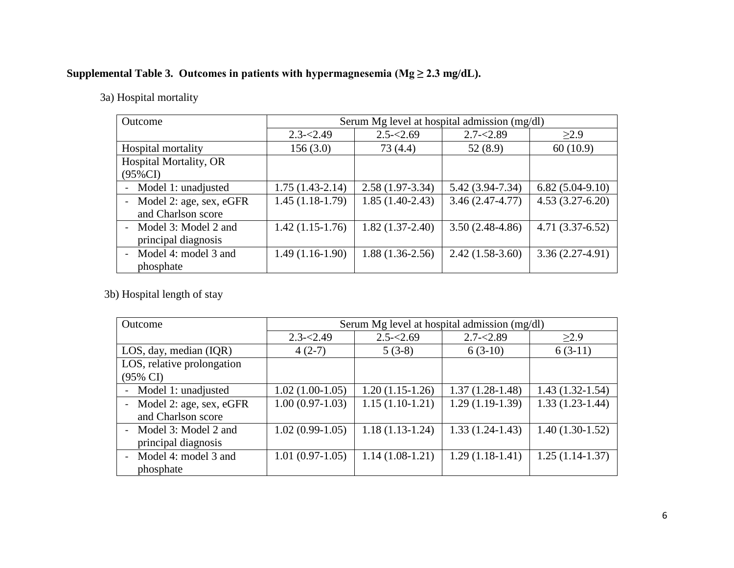## Supplemental Table 3. Outcomes in patients with hypermagnesemia ( $Mg \ge 2.3$  mg/dL).

3a) Hospital mortality

| Outcome                                       | Serum Mg level at hospital admission (mg/dl) |                   |                     |                   |  |
|-----------------------------------------------|----------------------------------------------|-------------------|---------------------|-------------------|--|
|                                               | $2.3 - 2.49$                                 | $2.5 - 2.69$      | $2.7 - 2.89$        | $\geq$ 2.9        |  |
| Hospital mortality                            | 156(3.0)                                     | 73 (4.4)          | 52(8.9)             | 60(10.9)          |  |
| <b>Hospital Mortality, OR</b><br>$(95\%CI)$   |                                              |                   |                     |                   |  |
| Model 1: unadjusted                           | $1.75(1.43-2.14)$                            | $2.58(1.97-3.34)$ | $5.42(3.94 - 7.34)$ | $6.82(5.04-9.10)$ |  |
| Model 2: age, sex, eGFR<br>and Charlson score | $1.45(1.18-1.79)$                            | $1.85(1.40-2.43)$ | $3.46(2.47 - 4.77)$ | $4.53(3.27-6.20)$ |  |
| - Model 3: Model 2 and<br>principal diagnosis | $1.42(1.15-1.76)$                            | $1.82(1.37-2.40)$ | $3.50(2.48-4.86)$   | $4.71(3.37-6.52)$ |  |
| - Model 4: model 3 and<br>phosphate           | $1.49(1.16-1.90)$                            | $1.88(1.36-2.56)$ | $2.42(1.58-3.60)$   | $3.36(2.27-4.91)$ |  |

3b) Hospital length of stay

| Outcome                                             | Serum Mg level at hospital admission (mg/dl) |                   |                   |                   |  |
|-----------------------------------------------------|----------------------------------------------|-------------------|-------------------|-------------------|--|
|                                                     | $2.3 - 2.49$                                 | $2.5 - 2.69$      | $2.7 - 2.89$      | $\geq$ 2.9        |  |
| LOS, day, median (IQR)                              | $4(2-7)$                                     | $5(3-8)$          | $6(3-10)$         | $6(3-11)$         |  |
| LOS, relative prolongation                          |                                              |                   |                   |                   |  |
| $(95\% \text{ CI})$                                 |                                              |                   |                   |                   |  |
| Model 1: unadjusted                                 | $1.02(1.00-1.05)$                            | $1.20(1.15-1.26)$ | $1.37(1.28-1.48)$ | $1.43(1.32-1.54)$ |  |
| Model 2: age, sex, eGFR<br>$\overline{\phantom{0}}$ | $1.00(0.97-1.03)$                            | $1.15(1.10-1.21)$ | $1.29(1.19-1.39)$ | $1.33(1.23-1.44)$ |  |
| and Charlson score                                  |                                              |                   |                   |                   |  |
| Model 3: Model 2 and<br>$\overline{\phantom{a}}$    | $1.02(0.99-1.05)$                            | $1.18(1.13-1.24)$ | $1.33(1.24-1.43)$ | $1.40(1.30-1.52)$ |  |
| principal diagnosis                                 |                                              |                   |                   |                   |  |
| Model 4: model 3 and<br>$\overline{\phantom{a}}$    | $1.01(0.97-1.05)$                            | $1.14(1.08-1.21)$ | $1.29(1.18-1.41)$ | $1.25(1.14-1.37)$ |  |
| phosphate                                           |                                              |                   |                   |                   |  |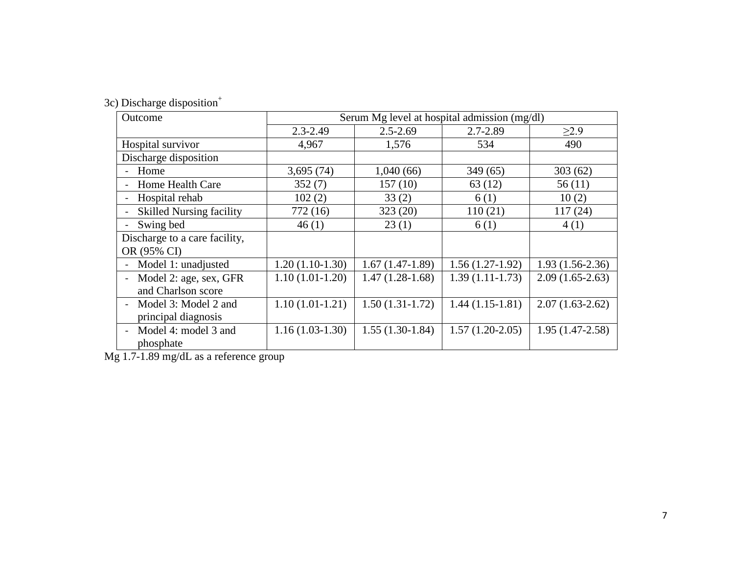|  | 3c) Discharge disposition <sup>+</sup> |  |
|--|----------------------------------------|--|

| Outcome                         | Serum Mg level at hospital admission (mg/dl) |                   |                   |                   |  |
|---------------------------------|----------------------------------------------|-------------------|-------------------|-------------------|--|
|                                 | $2.3 - 2.49$                                 | $2.5 - 2.69$      | $2.7 - 2.89$      | $\geq$ 2.9        |  |
| Hospital survivor               | 4,967                                        | 1,576             | 534               | 490               |  |
| Discharge disposition           |                                              |                   |                   |                   |  |
| - Home                          | 3,695(74)                                    | 1,040(66)         | 349(65)           | 303(62)           |  |
| Home Health Care                | 352(7)                                       | 157(10)           | 63(12)            | 56(11)            |  |
| Hospital rehab                  | 102(2)                                       | 33(2)             | 6(1)              | 10(2)             |  |
| <b>Skilled Nursing facility</b> | 772(16)                                      | 323(20)           | 110(21)           | 117(24)           |  |
| Swing bed                       | 46(1)                                        | 23(1)             | 6(1)              | 4(1)              |  |
| Discharge to a care facility,   |                                              |                   |                   |                   |  |
| OR (95% CI)                     |                                              |                   |                   |                   |  |
| Model 1: unadjusted             | $1.20(1.10-1.30)$                            | $1.67(1.47-1.89)$ | $1.56(1.27-1.92)$ | $1.93(1.56-2.36)$ |  |
| Model 2: age, sex, GFR          | $1.10(1.01-1.20)$                            | $1.47(1.28-1.68)$ | $1.39(1.11-1.73)$ | $2.09(1.65-2.63)$ |  |
| and Charlson score              |                                              |                   |                   |                   |  |
| Model 3: Model 2 and            | $1.10(1.01-1.21)$                            | $1.50(1.31-1.72)$ | $1.44(1.15-1.81)$ | $2.07(1.63-2.62)$ |  |
| principal diagnosis             |                                              |                   |                   |                   |  |
| Model 4: model 3 and            | $1.16(1.03-1.30)$                            | $1.55(1.30-1.84)$ | $1.57(1.20-2.05)$ | $1.95(1.47-2.58)$ |  |
| phosphate                       |                                              |                   |                   |                   |  |

Mg 1.7-1.89 mg/dL as a reference group